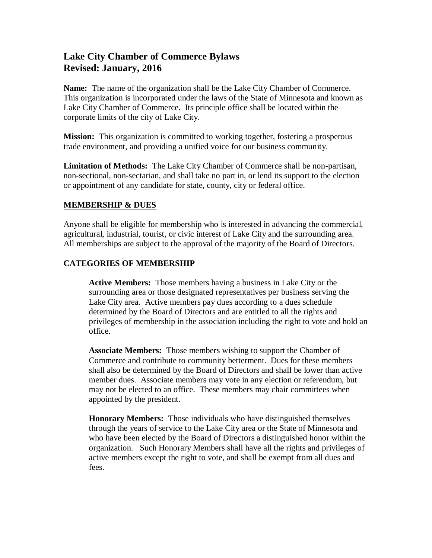# **Lake City Chamber of Commerce Bylaws Revised: January, 2016**

**Name:** The name of the organization shall be the Lake City Chamber of Commerce. This organization is incorporated under the laws of the State of Minnesota and known as Lake City Chamber of Commerce. Its principle office shall be located within the corporate limits of the city of Lake City.

**Mission:** This organization is committed to working together, fostering a prosperous trade environment, and providing a unified voice for our business community.

**Limitation of Methods:** The Lake City Chamber of Commerce shall be non-partisan, non-sectional, non-sectarian, and shall take no part in, or lend its support to the election or appointment of any candidate for state, county, city or federal office.

#### **MEMBERSHIP & DUES**

Anyone shall be eligible for membership who is interested in advancing the commercial, agricultural, industrial, tourist, or civic interest of Lake City and the surrounding area. All memberships are subject to the approval of the majority of the Board of Directors.

#### **CATEGORIES OF MEMBERSHIP**

**Active Members:** Those members having a business in Lake City or the surrounding area or those designated representatives per business serving the Lake City area. Active members pay dues according to a dues schedule determined by the Board of Directors and are entitled to all the rights and privileges of membership in the association including the right to vote and hold an office.

**Associate Members:** Those members wishing to support the Chamber of Commerce and contribute to community betterment. Dues for these members shall also be determined by the Board of Directors and shall be lower than active member dues. Associate members may vote in any election or referendum, but may not be elected to an office. These members may chair committees when appointed by the president.

**Honorary Members:** Those individuals who have distinguished themselves through the years of service to the Lake City area or the State of Minnesota and who have been elected by the Board of Directors a distinguished honor within the organization. Such Honorary Members shall have all the rights and privileges of active members except the right to vote, and shall be exempt from all dues and fees.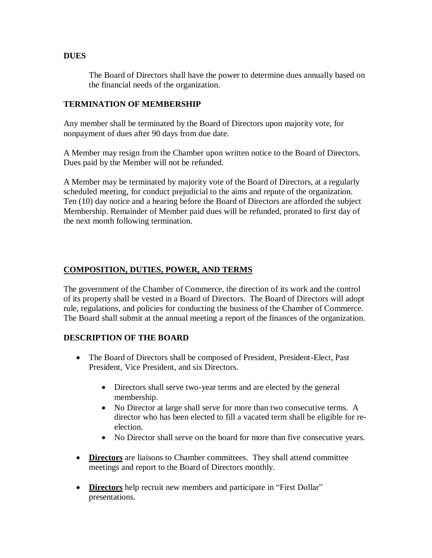#### **DUES**

The Board of Directors shall have the power to determine dues annually based on the financial needs of the organization.

#### **TERMINATION OF MEMBERSHIP**

Any member shall be terminated by the Board of Directors upon majority vote, for nonpayment of dues after 90 days from due date.

A Member may resign from the Chamber upon written notice to the Board of Directors. Dues paid by the Member will not be refunded.

A Member may be terminated by majority vote of the Board of Directors, at a regularly scheduled meeting, for conduct prejudicial to the aims and repute of the organization. Ten (10) day notice and a hearing before the Board of Directors are afforded the subject Membership. Remainder of Member paid dues will be refunded, prorated to first day of the next month following termination.

### **COMPOSITION, DUTIES, POWER, AND TERMS**

The government of the Chamber of Commerce, the direction of its work and the control of its property shall be vested in a Board of Directors. The Board of Directors will adopt rule, regulations, and policies for conducting the business of the Chamber of Commerce. The Board shall submit at the annual meeting a report of the finances of the organization.

### **DESCRIPTION OF THE BOARD**

- The Board of Directors shall be composed of President, President-Elect, Past President, Vice President, and six Directors.
	- Directors shall serve two-year terms and are elected by the general membership.
	- No Director at large shall serve for more than two consecutive terms. A director who has been elected to fill a vacated term shall be eligible for reelection.
	- No Director shall serve on the board for more than five consecutive years.
- **Directors** are liaisons to Chamber committees. They shall attend committee meetings and report to the Board of Directors monthly.
- **Directors** help recruit new members and participate in "First Dollar" presentations.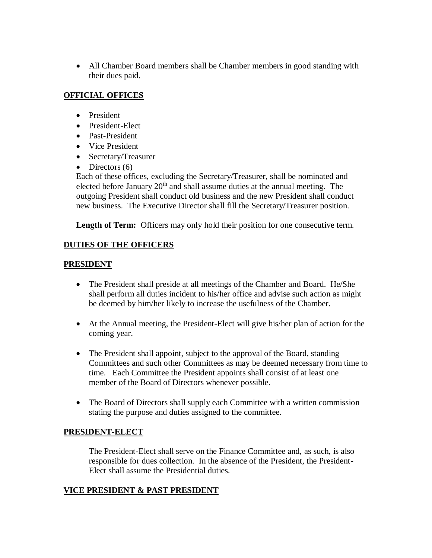All Chamber Board members shall be Chamber members in good standing with their dues paid.

### **OFFICIAL OFFICES**

- **•** President
- President-Elect
- Past-President
- Vice President
- Secretary/Treasurer
- $\bullet$  Directors (6)

Each of these offices, excluding the Secretary/Treasurer, shall be nominated and elected before January 20<sup>th</sup> and shall assume duties at the annual meeting. The outgoing President shall conduct old business and the new President shall conduct new business. The Executive Director shall fill the Secretary/Treasurer position.

**Length of Term:** Officers may only hold their position for one consecutive term.

### **DUTIES OF THE OFFICERS**

### **PRESIDENT**

- The President shall preside at all meetings of the Chamber and Board. He/She shall perform all duties incident to his/her office and advise such action as might be deemed by him/her likely to increase the usefulness of the Chamber.
- At the Annual meeting, the President-Elect will give his/her plan of action for the coming year.
- The President shall appoint, subject to the approval of the Board, standing Committees and such other Committees as may be deemed necessary from time to time. Each Committee the President appoints shall consist of at least one member of the Board of Directors whenever possible.
- The Board of Directors shall supply each Committee with a written commission stating the purpose and duties assigned to the committee.

### **PRESIDENT-ELECT**

The President-Elect shall serve on the Finance Committee and, as such, is also responsible for dues collection. In the absence of the President, the President-Elect shall assume the Presidential duties.

# **VICE PRESIDENT & PAST PRESIDENT**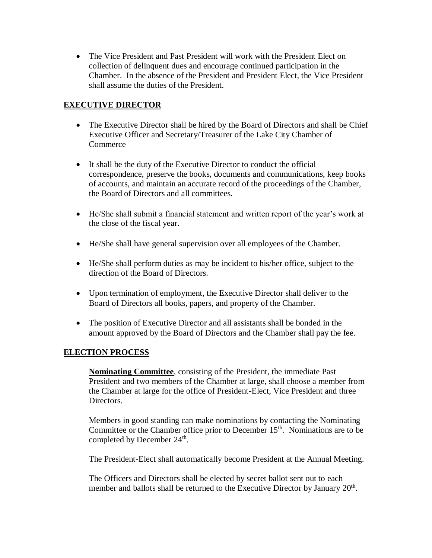The Vice President and Past President will work with the President Elect on collection of delinquent dues and encourage continued participation in the Chamber. In the absence of the President and President Elect, the Vice President shall assume the duties of the President.

### **EXECUTIVE DIRECTOR**

- The Executive Director shall be hired by the Board of Directors and shall be Chief Executive Officer and Secretary/Treasurer of the Lake City Chamber of **Commerce**
- It shall be the duty of the Executive Director to conduct the official correspondence, preserve the books, documents and communications, keep books of accounts, and maintain an accurate record of the proceedings of the Chamber, the Board of Directors and all committees.
- He/She shall submit a financial statement and written report of the year's work at the close of the fiscal year.
- He/She shall have general supervision over all employees of the Chamber.
- He/She shall perform duties as may be incident to his/her office, subject to the direction of the Board of Directors.
- Upon termination of employment, the Executive Director shall deliver to the Board of Directors all books, papers, and property of the Chamber.
- The position of Executive Director and all assistants shall be bonded in the amount approved by the Board of Directors and the Chamber shall pay the fee.

# **ELECTION PROCESS**

**Nominating Committee**, consisting of the President, the immediate Past President and two members of the Chamber at large, shall choose a member from the Chamber at large for the office of President-Elect, Vice President and three Directors.

Members in good standing can make nominations by contacting the Nominating Committee or the Chamber office prior to December 15<sup>th</sup>. Nominations are to be completed by December 24<sup>th</sup>.

The President-Elect shall automatically become President at the Annual Meeting.

The Officers and Directors shall be elected by secret ballot sent out to each member and ballots shall be returned to the Executive Director by January  $20<sup>th</sup>$ .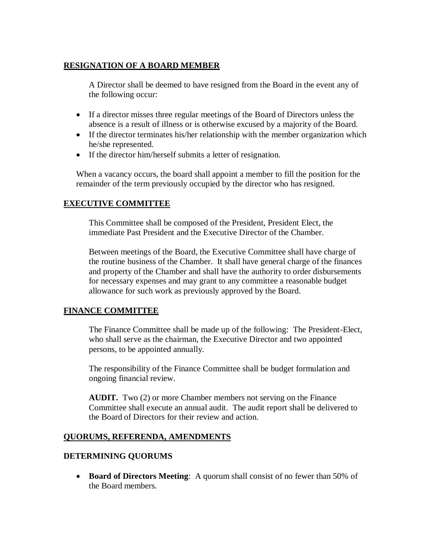### **RESIGNATION OF A BOARD MEMBER**

A Director shall be deemed to have resigned from the Board in the event any of the following occur:

- If a director misses three regular meetings of the Board of Directors unless the absence is a result of illness or is otherwise excused by a majority of the Board.
- If the director terminates his/her relationship with the member organization which he/she represented.
- If the director him/herself submits a letter of resignation.

When a vacancy occurs, the board shall appoint a member to fill the position for the remainder of the term previously occupied by the director who has resigned.

#### **EXECUTIVE COMMITTEE**

This Committee shall be composed of the President, President Elect, the immediate Past President and the Executive Director of the Chamber.

Between meetings of the Board, the Executive Committee shall have charge of the routine business of the Chamber. It shall have general charge of the finances and property of the Chamber and shall have the authority to order disbursements for necessary expenses and may grant to any committee a reasonable budget allowance for such work as previously approved by the Board.

### **FINANCE COMMITTEE**

The Finance Committee shall be made up of the following: The President-Elect, who shall serve as the chairman, the Executive Director and two appointed persons, to be appointed annually.

The responsibility of the Finance Committee shall be budget formulation and ongoing financial review.

**AUDIT.** Two (2) or more Chamber members not serving on the Finance Committee shall execute an annual audit. The audit report shall be delivered to the Board of Directors for their review and action.

### **QUORUMS, REFERENDA, AMENDMENTS**

#### **DETERMINING QUORUMS**

 **Board of Directors Meeting**: A quorum shall consist of no fewer than 50% of the Board members.